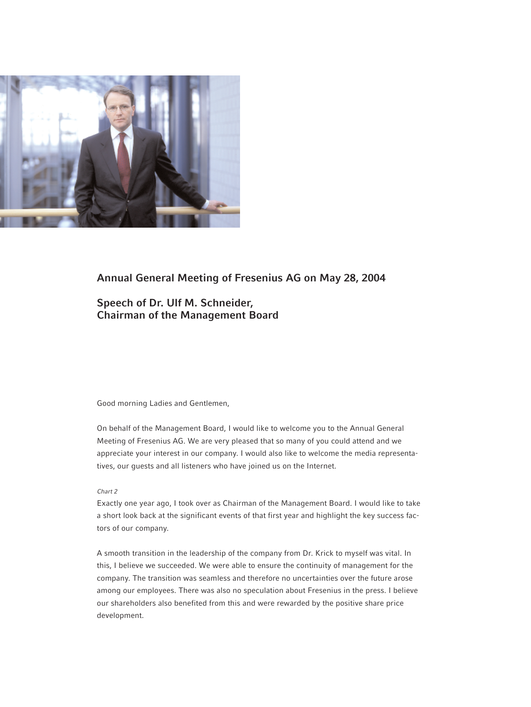

# **Annual General Meeting of Fresenius AG on May 28, 2004**

**Speech of Dr. Ulf M. Schneider, Chairman of the Management Board**

# Good morning Ladies and Gentlemen,

On behalf of the Management Board, I would like to welcome you to the Annual General Meeting of Fresenius AG. We are very pleased that so many of you could attend and we appreciate your interest in our company. I would also like to welcome the media representatives, our guests and all listeners who have joined us on the Internet.

# *Chart 2*

Exactly one year ago, I took over as Chairman of the Management Board. I would like to take a short look back at the significant events of that first year and highlight the key success factors of our company.

A smooth transition in the leadership of the company from Dr. Krick to myself was vital. In this, I believe we succeeded. We were able to ensure the continuity of management for the company. The transition was seamless and therefore no uncertainties over the future arose among our employees. There was also no speculation about Fresenius in the press. I believe our shareholders also benefited from this and were rewarded by the positive share price development.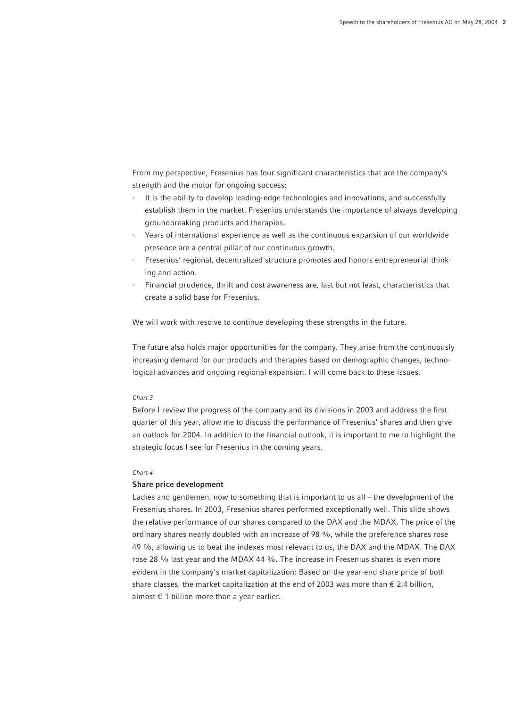From my perspective, Fresenius has four significant characteristics that are the company's strength and the motor for ongoing success:

- · It is the ability to develop leading-edge technologies and innovations, and successfully establish them in the market. Fresenius understands the importance of always developing groundbreaking products and therapies.
- Years of international experience as well as the continuous expansion of our worldwide presence are a central pillar of our continuous growth.
- Fresenius' regional, decentralized structure promotes and honors entrepreneurial thinking and action.
- · Financial prudence, thrift and cost awareness are, last but not least, characteristics that create a solid base for Fresenius.

We will work with resolve to continue developing these strengths in the future.

The future also holds major opportunities for the company. They arise from the continuously increasing demand for our products and therapies based on demographic changes, technological advances and ongoing regional expansion. I will come back to these issues.

#### *Chart 3*

Before I review the progress of the company and its divisions in 2003 and address the first quarter of this year, allow me to discuss the performance of Fresenius' shares and then give an outlook for 2004. In addition to the financial outlook, it is important to me to highlight the strategic focus I see for Fresenius in the coming years.

## *Chart 4*

#### **Share price development**

Ladies and gentlemen, now to something that is important to us all – the development of the Fresenius shares. In 2003, Fresenius shares performed exceptionally well. This slide shows the relative performance of our shares compared to the DAX and the MDAX. The price of the ordinary shares nearly doubled with an increase of 98 %, while the preference shares rose 49 %, allowing us to beat the indexes most relevant to us, the DAX and the MDAX. The DAX rose 28 % last year and the MDAX 44 %. The increase in Fresenius shares is even more evident in the company's market capitalization: Based on the year-end share price of both share classes, the market capitalization at the end of 2003 was more than  $\epsilon$  2.4 billion, almost  $\epsilon$  1 billion more than a year earlier.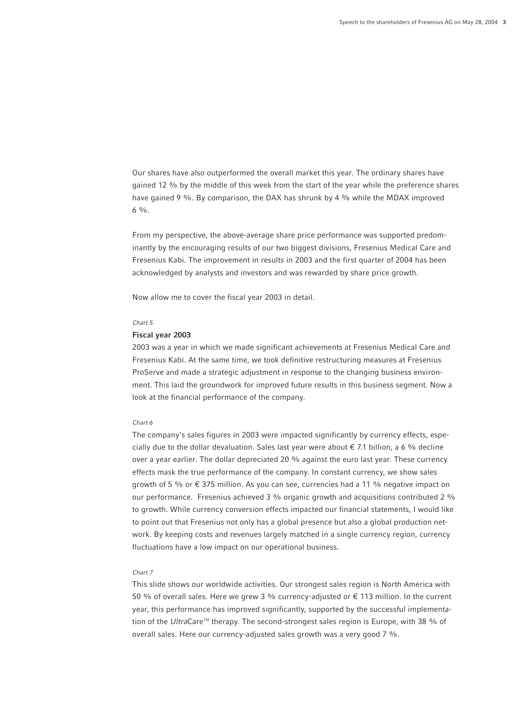Our shares have also outperformed the overall market this year. The ordinary shares have gained 12 % by the middle of this week from the start of the year while the preference shares have gained 9 %. By comparison, the DAX has shrunk by 4 % while the MDAX improved  $6\frac{0}{6}$ .

From my perspective, the above-average share price performance was supported predominantly by the encouraging results of our two biggest divisions, Fresenius Medical Care and Fresenius Kabi. The improvement in results in 2003 and the first quarter of 2004 has been acknowledged by analysts and investors and was rewarded by share price growth.

Now allow me to cover the fiscal year 2003 in detail.

#### *Chart 5*

# **Fiscal year 2003**

2003 was a year in which we made significant achievements at Fresenius Medical Care and Fresenius Kabi. At the same time, we took definitive restructuring measures at Fresenius ProServe and made a strategic adjustment in response to the changing business environment. This laid the groundwork for improved future results in this business segment. Now a look at the financial performance of the company.

## *Chart 6*

The company's sales figures in 2003 were impacted significantly by currency effects, especially due to the dollar devaluation. Sales last year were about  $\epsilon$  7.1 billion, a 6 % decline over a year earlier. The dollar depreciated 20 % against the euro last year. These currency effects mask the true performance of the company. In constant currency, we show sales growth of 5 % or  $\epsilon$  375 million. As you can see, currencies had a 11 % negative impact on our performance. Fresenius achieved 3 % organic growth and acquisitions contributed 2 % to growth. While currency conversion effects impacted our financial statements, I would like to point out that Fresenius not only has a global presence but also a global production network. By keeping costs and revenues largely matched in a single currency region, currency fluctuations have a low impact on our operational business.

# *Chart 7*

This slide shows our worldwide activities. Our strongest sales region is North America with 50 % of overall sales. Here we grew 3 % currency-adjusted or € 113 million. In the current year, this performance has improved significantly, supported by the successful implementation of the *UltraCare*<sup>™</sup> therapy. The second-strongest sales region is Europe, with 38 % of overall sales. Here our currency-adjusted sales growth was a very good 7 %.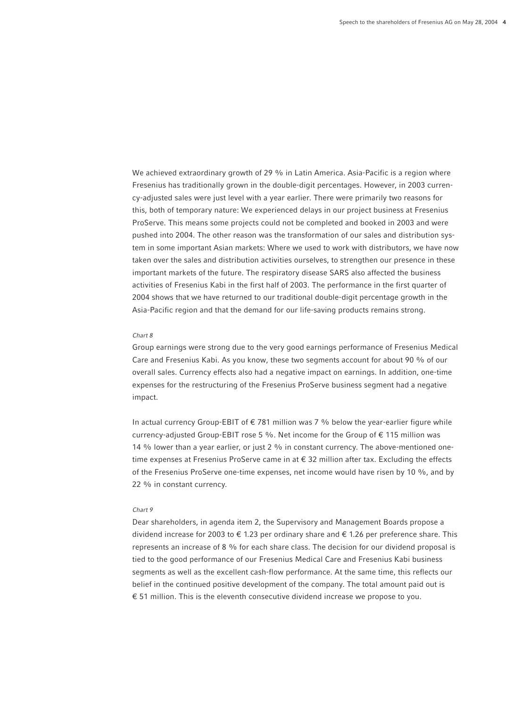We achieved extraordinary growth of 29 % in Latin America. Asia-Pacific is a region where Fresenius has traditionally grown in the double-digit percentages. However, in 2003 currency-adjusted sales were just level with a year earlier. There were primarily two reasons for this, both of temporary nature: We experienced delays in our project business at Fresenius ProServe. This means some projects could not be completed and booked in 2003 and were pushed into 2004. The other reason was the transformation of our sales and distribution system in some important Asian markets: Where we used to work with distributors, we have now taken over the sales and distribution activities ourselves, to strengthen our presence in these important markets of the future. The respiratory disease SARS also affected the business activities of Fresenius Kabi in the first half of 2003. The performance in the first quarter of 2004 shows that we have returned to our traditional double-digit percentage growth in the Asia-Pacific region and that the demand for our life-saving products remains strong.

# *Chart 8*

Group earnings were strong due to the very good earnings performance of Fresenius Medical Care and Fresenius Kabi. As you know, these two segments account for about 90 % of our overall sales. Currency effects also had a negative impact on earnings. In addition, one-time expenses for the restructuring of the Fresenius ProServe business segment had a negative impact.

In actual currency Group-EBIT of  $\epsilon$  781 million was 7 % below the year-earlier figure while currency-adjusted Group-EBIT rose 5 %. Net income for the Group of  $\epsilon$  115 million was 14 % lower than a year earlier, or just 2 % in constant currency. The above-mentioned onetime expenses at Fresenius ProServe came in at € 32 million after tax. Excluding the effects of the Fresenius ProServe one-time expenses, net income would have risen by 10 %, and by 22 % in constant currency.

## *Chart 9*

Dear shareholders, in agenda item 2, the Supervisory and Management Boards propose a dividend increase for 2003 to  $\epsilon$  1.23 per ordinary share and  $\epsilon$  1.26 per preference share. This represents an increase of 8 % for each share class. The decision for our dividend proposal is tied to the good performance of our Fresenius Medical Care and Fresenius Kabi business segments as well as the excellent cash-flow performance. At the same time, this reflects our belief in the continued positive development of the company. The total amount paid out is € 51 million. This is the eleventh consecutive dividend increase we propose to you.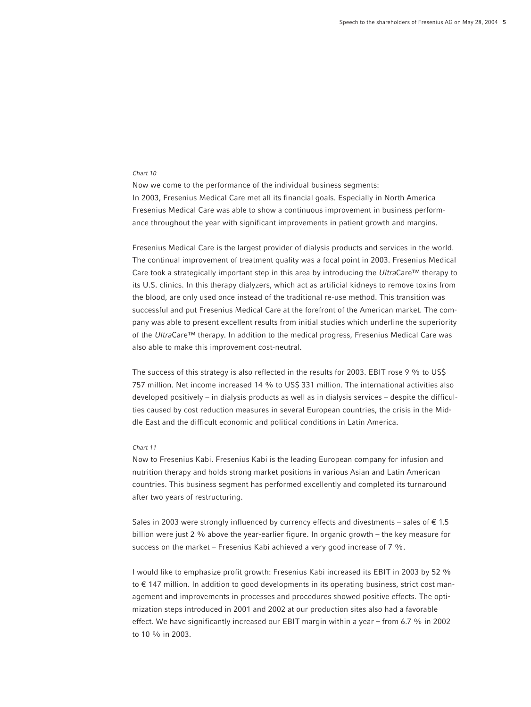#### *Chart 10*

Now we come to the performance of the individual business segments: In 2003, Fresenius Medical Care met all its financial goals. Especially in North America Fresenius Medical Care was able to show a continuous improvement in business performance throughout the year with significant improvements in patient growth and margins.

Fresenius Medical Care is the largest provider of dialysis products and services in the world. The continual improvement of treatment quality was a focal point in 2003. Fresenius Medical Care took a strategically important step in this area by introducing the *Ultra*Care™ therapy to its U.S. clinics. In this therapy dialyzers, which act as artificial kidneys to remove toxins from the blood, are only used once instead of the traditional re-use method. This transition was successful and put Fresenius Medical Care at the forefront of the American market. The company was able to present excellent results from initial studies which underline the superiority of the *Ultra*Care™ therapy. In addition to the medical progress, Fresenius Medical Care was also able to make this improvement cost-neutral.

The success of this strategy is also reflected in the results for 2003. EBIT rose 9 % to US\$ 757 million. Net income increased 14 % to US\$ 331 million. The international activities also developed positively – in dialysis products as well as in dialysis services – despite the difficulties caused by cost reduction measures in several European countries, the crisis in the Middle East and the difficult economic and political conditions in Latin America.

## *Chart 11*

Now to Fresenius Kabi. Fresenius Kabi is the leading European company for infusion and nutrition therapy and holds strong market positions in various Asian and Latin American countries. This business segment has performed excellently and completed its turnaround after two years of restructuring.

Sales in 2003 were strongly influenced by currency effects and divestments – sales of  $\epsilon$  1.5 billion were just 2 % above the year-earlier figure. In organic growth – the key measure for success on the market – Fresenius Kabi achieved a very good increase of 7 %.

I would like to emphasize profit growth: Fresenius Kabi increased its EBIT in 2003 by 52 % to € 147 million. In addition to good developments in its operating business, strict cost management and improvements in processes and procedures showed positive effects. The optimization steps introduced in 2001 and 2002 at our production sites also had a favorable effect. We have significantly increased our EBIT margin within a year – from 6.7 % in 2002 to 10 % in 2003.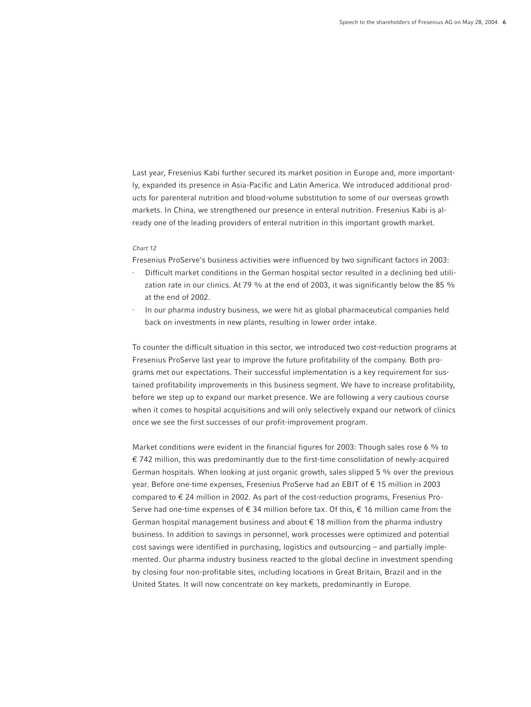Last year, Fresenius Kabi further secured its market position in Europe and, more importantly, expanded its presence in Asia-Pacific and Latin America. We introduced additional products for parenteral nutrition and blood-volume substitution to some of our overseas growth markets. In China, we strengthened our presence in enteral nutrition. Fresenius Kabi is already one of the leading providers of enteral nutrition in this important growth market.

## *Chart 12*

Fresenius ProServe's business activities were influenced by two significant factors in 2003:

- · Difficult market conditions in the German hospital sector resulted in a declining bed utilization rate in our clinics. At 79 % at the end of 2003, it was significantly below the 85 % at the end of 2002.
- In our pharma industry business, we were hit as global pharmaceutical companies held back on investments in new plants, resulting in lower order intake.

To counter the difficult situation in this sector, we introduced two cost-reduction programs at Fresenius ProServe last year to improve the future profitability of the company. Both programs met our expectations. Their successful implementation is a key requirement for sustained profitability improvements in this business segment. We have to increase profitability, before we step up to expand our market presence. We are following a very cautious course when it comes to hospital acquisitions and will only selectively expand our network of clinics once we see the first successes of our profit-improvement program.

Market conditions were evident in the financial figures for 2003: Though sales rose 6 % to € 742 million, this was predominantly due to the first-time consolidation of newly-acquired German hospitals. When looking at just organic growth, sales slipped 5 % over the previous year. Before one-time expenses, Fresenius ProServe had an EBIT of € 15 million in 2003 compared to  $\epsilon$  24 million in 2002. As part of the cost-reduction programs, Fresenius Pro-Serve had one-time expenses of  $\epsilon$  34 million before tax. Of this,  $\epsilon$  16 million came from the German hospital management business and about € 18 million from the pharma industry business. In addition to savings in personnel, work processes were optimized and potential cost savings were identified in purchasing, logistics and outsourcing – and partially implemented. Our pharma industry business reacted to the global decline in investment spending by closing four non-profitable sites, including locations in Great Britain, Brazil and in the United States. It will now concentrate on key markets, predominantly in Europe.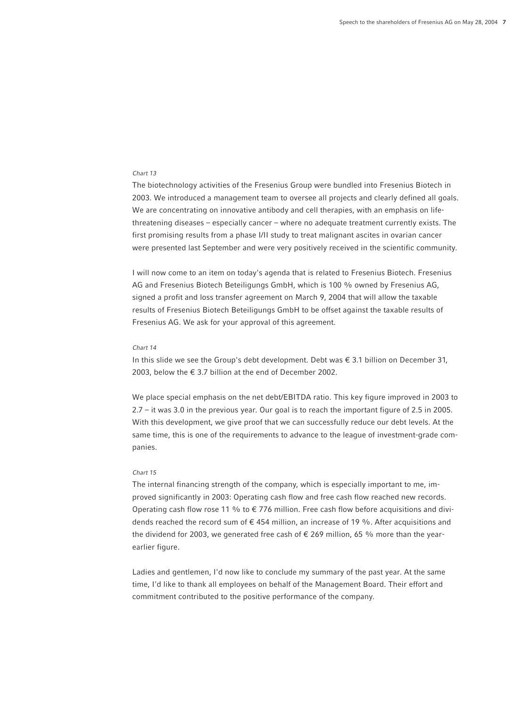# *Chart 13*

The biotechnology activities of the Fresenius Group were bundled into Fresenius Biotech in 2003. We introduced a management team to oversee all projects and clearly defined all goals. We are concentrating on innovative antibody and cell therapies, with an emphasis on lifethreatening diseases – especially cancer – where no adequate treatment currently exists. The first promising results from a phase I/II study to treat malignant ascites in ovarian cancer were presented last September and were very positively received in the scientific community.

I will now come to an item on today's agenda that is related to Fresenius Biotech. Fresenius AG and Fresenius Biotech Beteiligungs GmbH, which is 100 % owned by Fresenius AG, signed a profit and loss transfer agreement on March 9, 2004 that will allow the taxable results of Fresenius Biotech Beteiligungs GmbH to be offset against the taxable results of Fresenius AG. We ask for your approval of this agreement.

#### *Chart 14*

In this slide we see the Group's debt development. Debt was  $\epsilon$  3.1 billion on December 31, 2003, below the  $\epsilon$  3.7 billion at the end of December 2002.

We place special emphasis on the net debt/EBITDA ratio. This key figure improved in 2003 to 2.7 – it was 3.0 in the previous year. Our goal is to reach the important figure of 2.5 in 2005. With this development, we give proof that we can successfully reduce our debt levels. At the same time, this is one of the requirements to advance to the league of investment-grade companies.

#### *Chart 15*

The internal financing strength of the company, which is especially important to me, improved significantly in 2003: Operating cash flow and free cash flow reached new records. Operating cash flow rose 11 % to  $\epsilon$  776 million. Free cash flow before acquisitions and dividends reached the record sum of  $\epsilon$  454 million, an increase of 19 %. After acquisitions and the dividend for 2003, we generated free cash of  $\epsilon$  269 million, 65 % more than the yearearlier figure.

Ladies and gentlemen, I'd now like to conclude my summary of the past year. At the same time, I'd like to thank all employees on behalf of the Management Board. Their effort and commitment contributed to the positive performance of the company.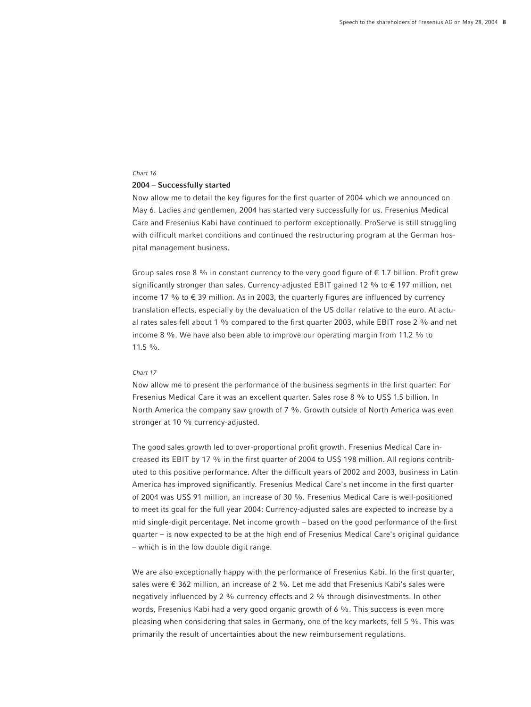#### *Chart 16*

#### **2004 – Successfully started**

Now allow me to detail the key figures for the first quarter of 2004 which we announced on May 6. Ladies and gentlemen, 2004 has started very successfully for us. Fresenius Medical Care and Fresenius Kabi have continued to perform exceptionally. ProServe is still struggling with difficult market conditions and continued the restructuring program at the German hospital management business.

Group sales rose 8 % in constant currency to the very good figure of  $\epsilon$  1.7 billion. Profit grew significantly stronger than sales. Currency-adjusted EBIT gained 12 % to  $\epsilon$  197 million, net income 17 % to  $\epsilon$  39 million. As in 2003, the quarterly figures are influenced by currency translation effects, especially by the devaluation of the US dollar relative to the euro. At actual rates sales fell about 1 % compared to the first quarter 2003, while EBIT rose 2 % and net income 8 %. We have also been able to improve our operating margin from 11.2 % to 11.5 %.

#### *Chart 17*

Now allow me to present the performance of the business segments in the first quarter: For Fresenius Medical Care it was an excellent quarter. Sales rose 8 % to US\$ 1.5 billion. In North America the company saw growth of 7 %. Growth outside of North America was even stronger at 10 % currency-adjusted.

The good sales growth led to over-proportional profit growth. Fresenius Medical Care increased its EBIT by 17 % in the first quarter of 2004 to US\$ 198 million. All regions contributed to this positive performance. After the difficult years of 2002 and 2003, business in Latin America has improved significantly. Fresenius Medical Care's net income in the first quarter of 2004 was US\$ 91 million, an increase of 30 %. Fresenius Medical Care is well-positioned to meet its goal for the full year 2004: Currency-adjusted sales are expected to increase by a mid single-digit percentage. Net income growth – based on the good performance of the first quarter – is now expected to be at the high end of Fresenius Medical Care's original guidance – which is in the low double digit range.

We are also exceptionally happy with the performance of Fresenius Kabi. In the first quarter, sales were € 362 million, an increase of 2 %. Let me add that Fresenius Kabi's sales were negatively influenced by 2 % currency effects and 2 % through disinvestments. In other words, Fresenius Kabi had a very good organic growth of 6 %. This success is even more pleasing when considering that sales in Germany, one of the key markets, fell 5 %. This was primarily the result of uncertainties about the new reimbursement regulations.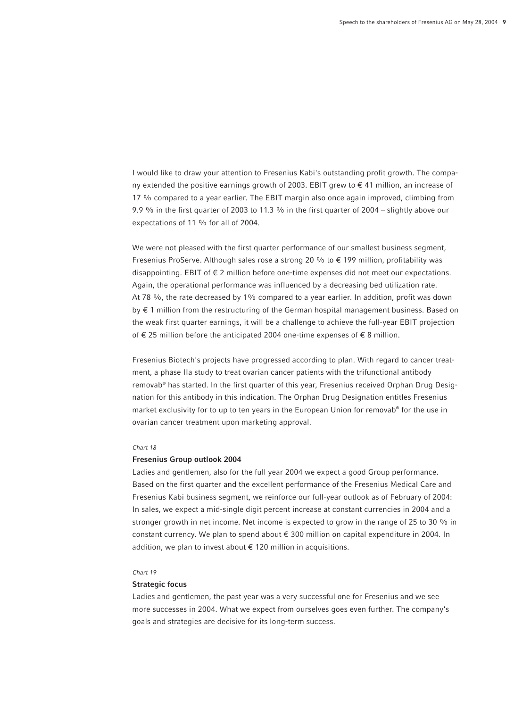I would like to draw your attention to Fresenius Kabi's outstanding profit growth. The company extended the positive earnings growth of 2003. EBIT grew to € 41 million, an increase of 17 % compared to a year earlier. The EBIT margin also once again improved, climbing from 9.9 % in the first quarter of 2003 to 11.3 % in the first quarter of 2004 – slightly above our expectations of 11 % for all of 2004.

We were not pleased with the first quarter performance of our smallest business segment, Fresenius ProServe. Although sales rose a strong 20 % to € 199 million, profitability was disappointing. EBIT of  $\epsilon$  2 million before one-time expenses did not meet our expectations. Again, the operational performance was influenced by a decreasing bed utilization rate. At 78 %, the rate decreased by 1% compared to a year earlier. In addition, profit was down by € 1 million from the restructuring of the German hospital management business. Based on the weak first quarter earnings, it will be a challenge to achieve the full-year EBIT projection of € 25 million before the anticipated 2004 one-time expenses of € 8 million.

Fresenius Biotech's projects have progressed according to plan. With regard to cancer treatment, a phase IIa study to treat ovarian cancer patients with the trifunctional antibody removab® has started. In the first quarter of this year, Fresenius received Orphan Drug Designation for this antibody in this indication. The Orphan Drug Designation entitles Fresenius market exclusivity for to up to ten years in the European Union for removab® for the use in ovarian cancer treatment upon marketing approval.

#### *Chart 18*

# **Fresenius Group outlook 2004**

Ladies and gentlemen, also for the full year 2004 we expect a good Group performance. Based on the first quarter and the excellent performance of the Fresenius Medical Care and Fresenius Kabi business segment, we reinforce our full-year outlook as of February of 2004: In sales, we expect a mid-single digit percent increase at constant currencies in 2004 and a stronger growth in net income. Net income is expected to grow in the range of 25 to 30 % in constant currency. We plan to spend about € 300 million on capital expenditure in 2004. In addition, we plan to invest about  $\epsilon$  120 million in acquisitions.

## *Chart 19*

## **Strategic focus**

Ladies and gentlemen, the past year was a very successful one for Fresenius and we see more successes in 2004. What we expect from ourselves goes even further. The company's goals and strategies are decisive for its long-term success.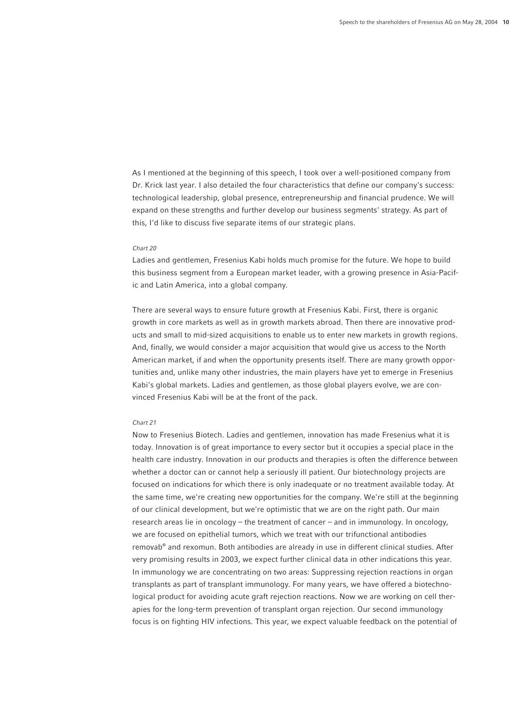As I mentioned at the beginning of this speech, I took over a well-positioned company from Dr. Krick last year. I also detailed the four characteristics that define our company's success: technological leadership, global presence, entrepreneurship and financial prudence. We will expand on these strengths and further develop our business segments' strategy. As part of this, I'd like to discuss five separate items of our strategic plans.

#### *Chart 20*

Ladies and gentlemen, Fresenius Kabi holds much promise for the future. We hope to build this business segment from a European market leader, with a growing presence in Asia-Pacific and Latin America, into a global company.

There are several ways to ensure future growth at Fresenius Kabi. First, there is organic growth in core markets as well as in growth markets abroad. Then there are innovative products and small to mid-sized acquisitions to enable us to enter new markets in growth regions. And, finally, we would consider a major acquisition that would give us access to the North American market, if and when the opportunity presents itself. There are many growth opportunities and, unlike many other industries, the main players have yet to emerge in Fresenius Kabi's global markets. Ladies and gentlemen, as those global players evolve, we are convinced Fresenius Kabi will be at the front of the pack.

## *Chart 21*

Now to Fresenius Biotech. Ladies and gentlemen, innovation has made Fresenius what it is today. Innovation is of great importance to every sector but it occupies a special place in the health care industry. Innovation in our products and therapies is often the difference between whether a doctor can or cannot help a seriously ill patient. Our biotechnology projects are focused on indications for which there is only inadequate or no treatment available today. At the same time, we're creating new opportunities for the company. We're still at the beginning of our clinical development, but we're optimistic that we are on the right path. Our main research areas lie in oncology – the treatment of cancer – and in immunology. In oncology, we are focused on epithelial tumors, which we treat with our trifunctional antibodies removab® and rexomun. Both antibodies are already in use in different clinical studies. After very promising results in 2003, we expect further clinical data in other indications this year. In immunology we are concentrating on two areas: Suppressing rejection reactions in organ transplants as part of transplant immunology. For many years, we have offered a biotechnological product for avoiding acute graft rejection reactions. Now we are working on cell therapies for the long-term prevention of transplant organ rejection. Our second immunology focus is on fighting HIV infections. This year, we expect valuable feedback on the potential of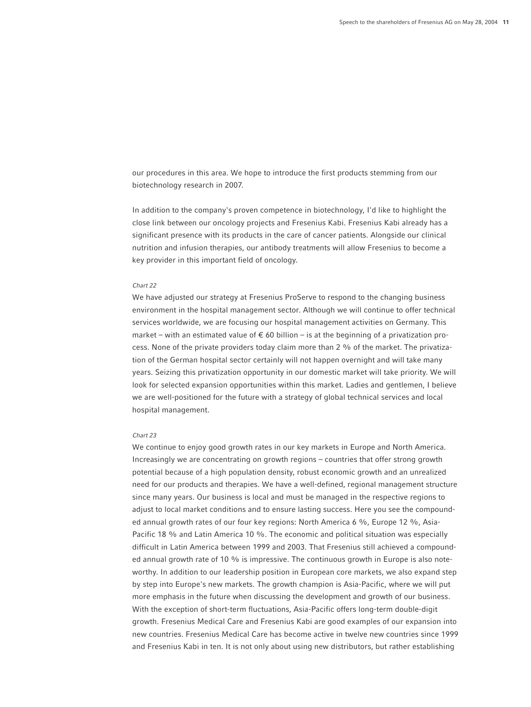our procedures in this area. We hope to introduce the first products stemming from our biotechnology research in 2007.

In addition to the company's proven competence in biotechnology, I'd like to highlight the close link between our oncology projects and Fresenius Kabi. Fresenius Kabi already has a significant presence with its products in the care of cancer patients. Alongside our clinical nutrition and infusion therapies, our antibody treatments will allow Fresenius to become a key provider in this important field of oncology.

#### *Chart 22*

We have adjusted our strategy at Fresenius ProServe to respond to the changing business environment in the hospital management sector. Although we will continue to offer technical services worldwide, we are focusing our hospital management activities on Germany. This market – with an estimated value of  $\epsilon$  60 billion – is at the beginning of a privatization process. None of the private providers today claim more than 2 % of the market. The privatization of the German hospital sector certainly will not happen overnight and will take many years. Seizing this privatization opportunity in our domestic market will take priority. We will look for selected expansion opportunities within this market. Ladies and gentlemen, I believe we are well-positioned for the future with a strategy of global technical services and local hospital management.

# *Chart 23*

We continue to enjoy good growth rates in our key markets in Europe and North America. Increasingly we are concentrating on growth regions – countries that offer strong growth potential because of a high population density, robust economic growth and an unrealized need for our products and therapies. We have a well-defined, regional management structure since many years. Our business is local and must be managed in the respective regions to adjust to local market conditions and to ensure lasting success. Here you see the compounded annual growth rates of our four key regions: North America 6 %, Europe 12 %, Asia-Pacific 18 % and Latin America 10 %. The economic and political situation was especially difficult in Latin America between 1999 and 2003. That Fresenius still achieved a compounded annual growth rate of 10 % is impressive. The continuous growth in Europe is also noteworthy. In addition to our leadership position in European core markets, we also expand step by step into Europe's new markets. The growth champion is Asia-Pacific, where we will put more emphasis in the future when discussing the development and growth of our business. With the exception of short-term fluctuations, Asia-Pacific offers long-term double-digit growth. Fresenius Medical Care and Fresenius Kabi are good examples of our expansion into new countries. Fresenius Medical Care has become active in twelve new countries since 1999 and Fresenius Kabi in ten. It is not only about using new distributors, but rather establishing